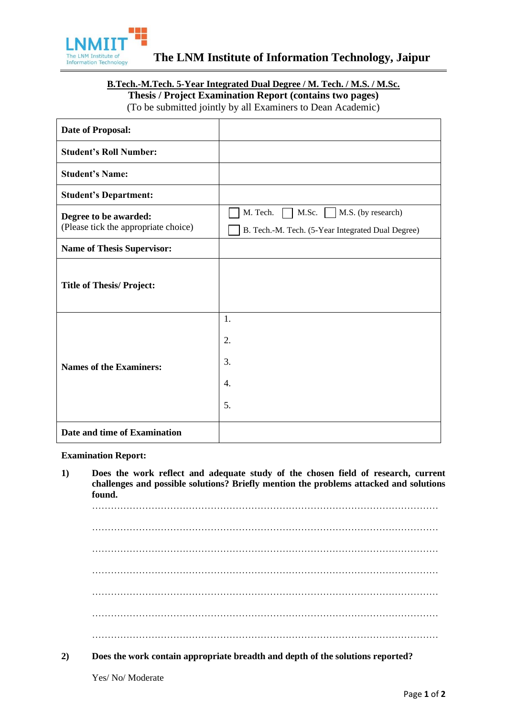

# **B.Tech.-M.Tech. 5-Year Integrated Dual Degree / M. Tech. / M.S. / M.Sc. Thesis / Project Examination Report (contains two pages)**

(To be submitted jointly by all Examiners to Dean Academic)

| <b>Date of Proposal:</b>                                      |                                                                                                     |
|---------------------------------------------------------------|-----------------------------------------------------------------------------------------------------|
| <b>Student's Roll Number:</b>                                 |                                                                                                     |
| <b>Student's Name:</b>                                        |                                                                                                     |
| <b>Student's Department:</b>                                  |                                                                                                     |
| Degree to be awarded:<br>(Please tick the appropriate choice) | M. Tech.<br>M.Sc.   $\vert$ M.S. (by research)<br>B. Tech.-M. Tech. (5-Year Integrated Dual Degree) |
| <b>Name of Thesis Supervisor:</b>                             |                                                                                                     |
| <b>Title of Thesis/Project:</b>                               |                                                                                                     |
| <b>Names of the Examiners:</b>                                | 1.<br>2.<br>3.<br>4.<br>5.                                                                          |
| Date and time of Examination                                  |                                                                                                     |

**Examination Report:**

**1) Does the work reflect and adequate study of the chosen field of research, current challenges and possible solutions? Briefly mention the problems attacked and solutions found.**

………………………………………………………………………………………………… ………………………………………………………………………………………………… ………………………………………………………………………………………………… ………………………………………………………………………………………………… ………………………………………………………………………………………………… ………………………………………………………………………………………………… …………………………………………………………………………………………………

**2) Does the work contain appropriate breadth and depth of the solutions reported?**